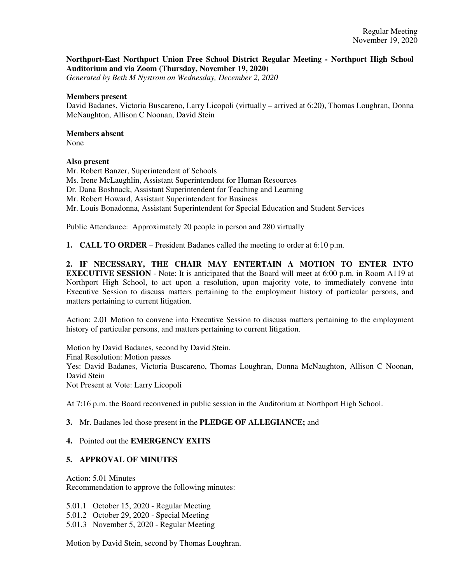## **Northport-East Northport Union Free School District Regular Meeting - Northport High School Auditorium and via Zoom (Thursday, November 19, 2020)**

*Generated by Beth M Nystrom on Wednesday, December 2, 2020*

#### **Members present**

David Badanes, Victoria Buscareno, Larry Licopoli (virtually – arrived at 6:20), Thomas Loughran, Donna McNaughton, Allison C Noonan, David Stein

### **Members absent**

None

### **Also present**

Mr. Robert Banzer, Superintendent of Schools Ms. Irene McLaughlin, Assistant Superintendent for Human Resources Dr. Dana Boshnack, Assistant Superintendent for Teaching and Learning Mr. Robert Howard, Assistant Superintendent for Business Mr. Louis Bonadonna, Assistant Superintendent for Special Education and Student Services

Public Attendance: Approximately 20 people in person and 280 virtually

**1. CALL TO ORDER** – President Badanes called the meeting to order at 6:10 p.m.

**2. IF NECESSARY, THE CHAIR MAY ENTERTAIN A MOTION TO ENTER INTO EXECUTIVE SESSION** - Note: It is anticipated that the Board will meet at 6:00 p.m. in Room A119 at Northport High School, to act upon a resolution, upon majority vote, to immediately convene into Executive Session to discuss matters pertaining to the employment history of particular persons, and matters pertaining to current litigation.

Action: 2.01 Motion to convene into Executive Session to discuss matters pertaining to the employment history of particular persons, and matters pertaining to current litigation.

Motion by David Badanes, second by David Stein. Final Resolution: Motion passes Yes: David Badanes, Victoria Buscareno, Thomas Loughran, Donna McNaughton, Allison C Noonan, David Stein Not Present at Vote: Larry Licopoli

At 7:16 p.m. the Board reconvened in public session in the Auditorium at Northport High School.

## **3.** Mr. Badanes led those present in the **PLEDGE OF ALLEGIANCE;** and

#### **4.** Pointed out the **EMERGENCY EXITS**

#### **5. APPROVAL OF MINUTES**

Action: 5.01 Minutes Recommendation to approve the following minutes:

5.01.1 October 15, 2020 - Regular Meeting 5.01.2 October 29, 2020 - Special Meeting 5.01.3 November 5, 2020 - Regular Meeting

Motion by David Stein, second by Thomas Loughran.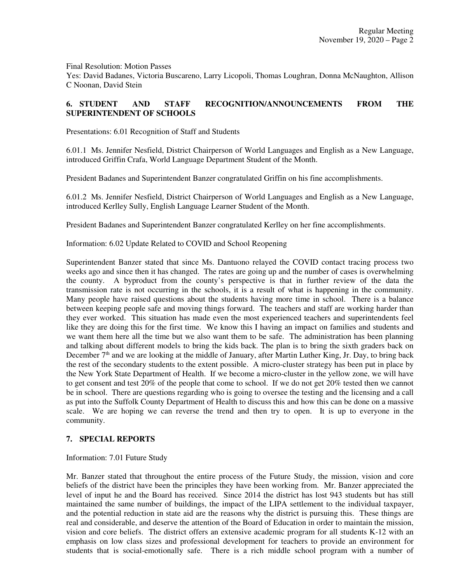Final Resolution: Motion Passes

Yes: David Badanes, Victoria Buscareno, Larry Licopoli, Thomas Loughran, Donna McNaughton, Allison C Noonan, David Stein

# **6. STUDENT AND STAFF RECOGNITION/ANNOUNCEMENTS FROM THE SUPERINTENDENT OF SCHOOLS**

Presentations: 6.01 Recognition of Staff and Students

6.01.1 Ms. Jennifer Nesfield, District Chairperson of World Languages and English as a New Language, introduced Griffin Crafa, World Language Department Student of the Month.

President Badanes and Superintendent Banzer congratulated Griffin on his fine accomplishments.

6.01.2 Ms. Jennifer Nesfield, District Chairperson of World Languages and English as a New Language, introduced Kerlley Sully, English Language Learner Student of the Month.

President Badanes and Superintendent Banzer congratulated Kerlley on her fine accomplishments.

Information: 6.02 Update Related to COVID and School Reopening

Superintendent Banzer stated that since Ms. Dantuono relayed the COVID contact tracing process two weeks ago and since then it has changed. The rates are going up and the number of cases is overwhelming the county. A byproduct from the county's perspective is that in further review of the data the transmission rate is not occurring in the schools, it is a result of what is happening in the community. Many people have raised questions about the students having more time in school. There is a balance between keeping people safe and moving things forward. The teachers and staff are working harder than they ever worked. This situation has made even the most experienced teachers and superintendents feel like they are doing this for the first time. We know this I having an impact on families and students and we want them here all the time but we also want them to be safe. The administration has been planning and talking about different models to bring the kids back. The plan is to bring the sixth graders back on December  $7<sup>th</sup>$  and we are looking at the middle of January, after Martin Luther King, Jr. Day, to bring back the rest of the secondary students to the extent possible. A micro-cluster strategy has been put in place by the New York State Department of Health. If we become a micro-cluster in the yellow zone, we will have to get consent and test 20% of the people that come to school. If we do not get 20% tested then we cannot be in school. There are questions regarding who is going to oversee the testing and the licensing and a call as put into the Suffolk County Department of Health to discuss this and how this can be done on a massive scale. We are hoping we can reverse the trend and then try to open. It is up to everyone in the community.

## **7. SPECIAL REPORTS**

Information: 7.01 Future Study

Mr. Banzer stated that throughout the entire process of the Future Study, the mission, vision and core beliefs of the district have been the principles they have been working from. Mr. Banzer appreciated the level of input he and the Board has received. Since 2014 the district has lost 943 students but has still maintained the same number of buildings, the impact of the LIPA settlement to the individual taxpayer, and the potential reduction in state aid are the reasons why the district is pursuing this. These things are real and considerable, and deserve the attention of the Board of Education in order to maintain the mission, vision and core beliefs. The district offers an extensive academic program for all students K-12 with an emphasis on low class sizes and professional development for teachers to provide an environment for students that is social-emotionally safe. There is a rich middle school program with a number of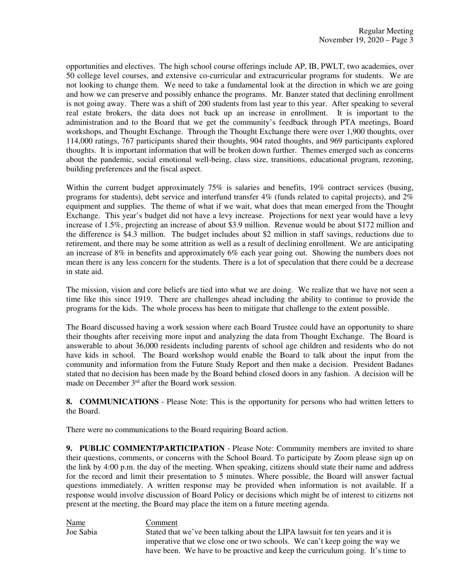opportunities and electives. The high school course offerings include AP, IB, PWLT, two academies, over 50 college level courses, and extensive co-curricular and extracurricular programs for students. We are not looking to change them. We need to take a fundamental look at the direction in which we are going and how we can preserve and possibly enhance the programs. Mr. Banzer stated that declining enrollment is not going away. There was a shift of 200 students from last year to this year. After speaking to several real estate brokers, the data does not back up an increase in enrollment. It is important to the administration and to the Board that we get the community's feedback through PTA meetings, Board workshops, and Thought Exchange. Through the Thought Exchange there were over 1,900 thoughts, over 114,000 ratings, 767 participants shared their thoughts, 904 rated thoughts, and 969 participants explored thoughts. It is important information that will be broken down further. Themes emerged such as concerns about the pandemic, social emotional well-being, class size, transitions, educational program, rezoning, building preferences and the fiscal aspect.

Within the current budget approximately 75% is salaries and benefits, 19% contract services (busing, programs for students), debt service and interfund transfer 4% (funds related to capital projects), and 2% equipment and supplies. The theme of what if we wait, what does that mean emerged from the Thought Exchange. This year's budget did not have a levy increase. Projections for next year would have a levy increase of 1.5%, projecting an increase of about \$3.9 million. Revenue would be about \$172 million and the difference is \$4.3 million. The budget includes about \$2 million in staff savings, reductions due to retirement, and there may be some attrition as well as a result of declining enrollment. We are anticipating an increase of 8% in benefits and approximately 6% each year going out. Showing the numbers does not mean there is any less concern for the students. There is a lot of speculation that there could be a decrease in state aid.

The mission, vision and core beliefs are tied into what we are doing. We realize that we have not seen a time like this since 1919. There are challenges ahead including the ability to continue to provide the programs for the kids. The whole process has been to mitigate that challenge to the extent possible.

The Board discussed having a work session where each Board Trustee could have an opportunity to share their thoughts after receiving more input and analyzing the data from Thought Exchange. The Board is answerable to about 36,000 residents including parents of school age children and residents who do not have kids in school. The Board workshop would enable the Board to talk about the input from the community and information from the Future Study Report and then make a decision. President Badanes stated that no decision has been made by the Board behind closed doors in any fashion. A decision will be made on December 3<sup>rd</sup> after the Board work session.

**8. COMMUNICATIONS** - Please Note: This is the opportunity for persons who had written letters to the Board.

There were no communications to the Board requiring Board action.

**9. PUBLIC COMMENT/PARTICIPATION** - Please Note: Community members are invited to share their questions, comments, or concerns with the School Board. To participate by Zoom please sign up on the link by 4:00 p.m. the day of the meeting. When speaking, citizens should state their name and address for the record and limit their presentation to 5 minutes. Where possible, the Board will answer factual questions immediately. A written response may be provided when information is not available. If a response would involve discussion of Board Policy or decisions which might be of interest to citizens not present at the meeting, the Board may place the item on a future meeting agenda.

**Name**<br> **Ioe Sabia Comment**<br> **Stated that** Stated that we've been talking about the LIPA lawsuit for ten years and it is imperative that we close one or two schools. We can't keep going the way we have been. We have to be proactive and keep the curriculum going. It's time to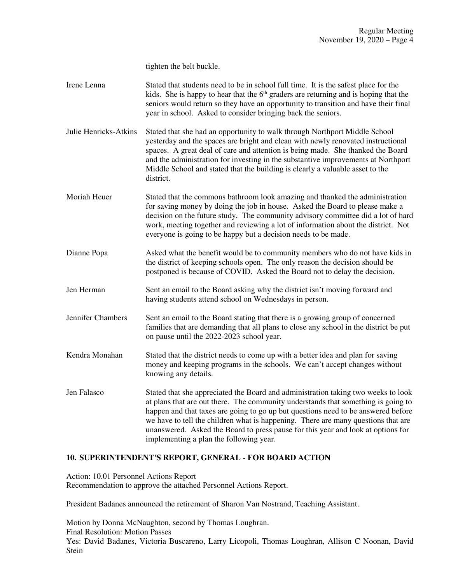tighten the belt buckle.

- Irene Lenna Stated that students need to be in school full time. It is the safest place for the kids. She is happy to hear that the  $6<sup>th</sup>$  graders are returning and is hoping that the seniors would return so they have an opportunity to transition and have their final year in school. Asked to consider bringing back the seniors.
- Julie Henricks-Atkins Stated that she had an opportunity to walk through Northport Middle School yesterday and the spaces are bright and clean with newly renovated instructional spaces. A great deal of care and attention is being made. She thanked the Board and the administration for investing in the substantive improvements at Northport Middle School and stated that the building is clearly a valuable asset to the district.
- Moriah Heuer Stated that the commons bathroom look amazing and thanked the administration for saving money by doing the job in house. Asked the Board to please make a decision on the future study. The community advisory committee did a lot of hard work, meeting together and reviewing a lot of information about the district. Not everyone is going to be happy but a decision needs to be made.
- Dianne Popa Asked what the benefit would be to community members who do not have kids in the district of keeping schools open. The only reason the decision should be postponed is because of COVID. Asked the Board not to delay the decision.
- Jen Herman Sent an email to the Board asking why the district isn't moving forward and having students attend school on Wednesdays in person.
- Jennifer Chambers Sent an email to the Board stating that there is a growing group of concerned families that are demanding that all plans to close any school in the district be put on pause until the 2022-2023 school year.
- Kendra Monahan Stated that the district needs to come up with a better idea and plan for saving money and keeping programs in the schools. We can't accept changes without knowing any details.
- Jen Falasco Stated that she appreciated the Board and administration taking two weeks to look at plans that are out there. The community understands that something is going to happen and that taxes are going to go up but questions need to be answered before we have to tell the children what is happening. There are many questions that are unanswered. Asked the Board to press pause for this year and look at options for implementing a plan the following year.

# **10. SUPERINTENDENT'S REPORT, GENERAL - FOR BOARD ACTION**

Action: 10.01 Personnel Actions Report Recommendation to approve the attached Personnel Actions Report.

President Badanes announced the retirement of Sharon Van Nostrand, Teaching Assistant.

Motion by Donna McNaughton, second by Thomas Loughran. Final Resolution: Motion Passes Yes: David Badanes, Victoria Buscareno, Larry Licopoli, Thomas Loughran, Allison C Noonan, David Stein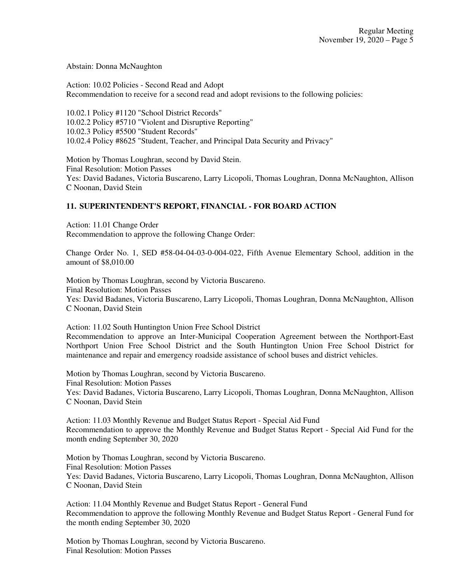Abstain: Donna McNaughton

Action: 10.02 Policies - Second Read and Adopt Recommendation to receive for a second read and adopt revisions to the following policies:

10.02.1 Policy #1120 "School District Records" 10.02.2 Policy #5710 "Violent and Disruptive Reporting" 10.02.3 Policy #5500 "Student Records" 10.02.4 Policy #8625 "Student, Teacher, and Principal Data Security and Privacy"

Motion by Thomas Loughran, second by David Stein. Final Resolution: Motion Passes Yes: David Badanes, Victoria Buscareno, Larry Licopoli, Thomas Loughran, Donna McNaughton, Allison C Noonan, David Stein

# **11. SUPERINTENDENT'S REPORT, FINANCIAL - FOR BOARD ACTION**

Action: 11.01 Change Order Recommendation to approve the following Change Order:

Change Order No. 1, SED #58-04-04-03-0-004-022, Fifth Avenue Elementary School, addition in the amount of \$8,010.00

Motion by Thomas Loughran, second by Victoria Buscareno. Final Resolution: Motion Passes Yes: David Badanes, Victoria Buscareno, Larry Licopoli, Thomas Loughran, Donna McNaughton, Allison C Noonan, David Stein

Action: 11.02 South Huntington Union Free School District

Recommendation to approve an Inter-Municipal Cooperation Agreement between the Northport-East Northport Union Free School District and the South Huntington Union Free School District for maintenance and repair and emergency roadside assistance of school buses and district vehicles.

Motion by Thomas Loughran, second by Victoria Buscareno. Final Resolution: Motion Passes Yes: David Badanes, Victoria Buscareno, Larry Licopoli, Thomas Loughran, Donna McNaughton, Allison C Noonan, David Stein

Action: 11.03 Monthly Revenue and Budget Status Report - Special Aid Fund Recommendation to approve the Monthly Revenue and Budget Status Report - Special Aid Fund for the month ending September 30, 2020

Motion by Thomas Loughran, second by Victoria Buscareno. Final Resolution: Motion Passes Yes: David Badanes, Victoria Buscareno, Larry Licopoli, Thomas Loughran, Donna McNaughton, Allison C Noonan, David Stein

Action: 11.04 Monthly Revenue and Budget Status Report - General Fund Recommendation to approve the following Monthly Revenue and Budget Status Report - General Fund for the month ending September 30, 2020

Motion by Thomas Loughran, second by Victoria Buscareno. Final Resolution: Motion Passes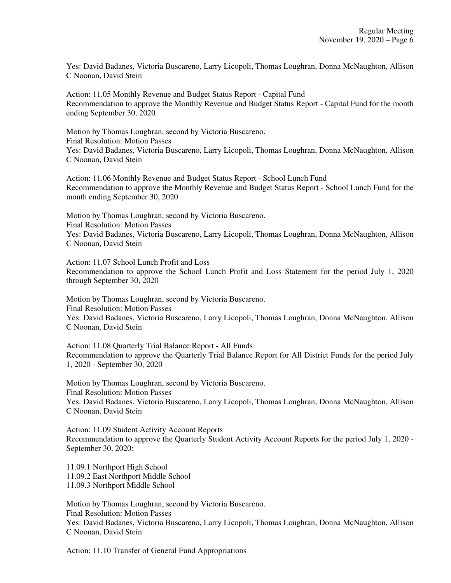Yes: David Badanes, Victoria Buscareno, Larry Licopoli, Thomas Loughran, Donna McNaughton, Allison C Noonan, David Stein

Action: 11.05 Monthly Revenue and Budget Status Report - Capital Fund Recommendation to approve the Monthly Revenue and Budget Status Report - Capital Fund for the month ending September 30, 2020

Motion by Thomas Loughran, second by Victoria Buscareno. Final Resolution: Motion Passes Yes: David Badanes, Victoria Buscareno, Larry Licopoli, Thomas Loughran, Donna McNaughton, Allison C Noonan, David Stein

Action: 11.06 Monthly Revenue and Budget Status Report - School Lunch Fund Recommendation to approve the Monthly Revenue and Budget Status Report - School Lunch Fund for the month ending September 30, 2020

Motion by Thomas Loughran, second by Victoria Buscareno. Final Resolution: Motion Passes Yes: David Badanes, Victoria Buscareno, Larry Licopoli, Thomas Loughran, Donna McNaughton, Allison C Noonan, David Stein

Action: 11.07 School Lunch Profit and Loss Recommendation to approve the School Lunch Profit and Loss Statement for the period July 1, 2020 through September 30, 2020

Motion by Thomas Loughran, second by Victoria Buscareno. Final Resolution: Motion Passes Yes: David Badanes, Victoria Buscareno, Larry Licopoli, Thomas Loughran, Donna McNaughton, Allison C Noonan, David Stein

Action: 11.08 Quarterly Trial Balance Report - All Funds Recommendation to approve the Quarterly Trial Balance Report for All District Funds for the period July 1, 2020 - September 30, 2020

Motion by Thomas Loughran, second by Victoria Buscareno. Final Resolution: Motion Passes Yes: David Badanes, Victoria Buscareno, Larry Licopoli, Thomas Loughran, Donna McNaughton, Allison C Noonan, David Stein

Action: 11.09 Student Activity Account Reports Recommendation to approve the Quarterly Student Activity Account Reports for the period July 1, 2020 - September 30, 2020:

11.09.1 Northport High School 11.09.2 East Northport Middle School 11.09.3 Northport Middle School

Motion by Thomas Loughran, second by Victoria Buscareno. Final Resolution: Motion Passes Yes: David Badanes, Victoria Buscareno, Larry Licopoli, Thomas Loughran, Donna McNaughton, Allison C Noonan, David Stein

Action: 11.10 Transfer of General Fund Appropriations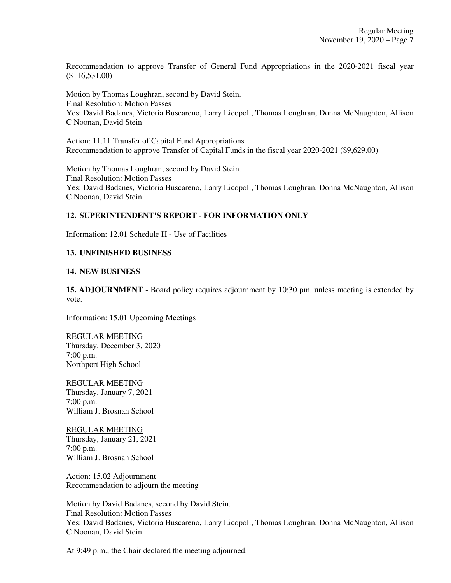Recommendation to approve Transfer of General Fund Appropriations in the 2020-2021 fiscal year (\$116,531.00)

Motion by Thomas Loughran, second by David Stein. Final Resolution: Motion Passes Yes: David Badanes, Victoria Buscareno, Larry Licopoli, Thomas Loughran, Donna McNaughton, Allison C Noonan, David Stein

Action: 11.11 Transfer of Capital Fund Appropriations Recommendation to approve Transfer of Capital Funds in the fiscal year 2020-2021 (\$9,629.00)

Motion by Thomas Loughran, second by David Stein. Final Resolution: Motion Passes Yes: David Badanes, Victoria Buscareno, Larry Licopoli, Thomas Loughran, Donna McNaughton, Allison C Noonan, David Stein

## **12. SUPERINTENDENT'S REPORT - FOR INFORMATION ONLY**

Information: 12.01 Schedule H - Use of Facilities

## **13. UNFINISHED BUSINESS**

### **14. NEW BUSINESS**

**15. ADJOURNMENT** - Board policy requires adjournment by 10:30 pm, unless meeting is extended by vote.

Information: 15.01 Upcoming Meetings

REGULAR MEETING Thursday, December 3, 2020 7:00 p.m. Northport High School

REGULAR MEETING Thursday, January 7, 2021 7:00 p.m. William J. Brosnan School

REGULAR MEETING Thursday, January 21, 2021 7:00 p.m. William J. Brosnan School

Action: 15.02 Adjournment Recommendation to adjourn the meeting

Motion by David Badanes, second by David Stein. Final Resolution: Motion Passes Yes: David Badanes, Victoria Buscareno, Larry Licopoli, Thomas Loughran, Donna McNaughton, Allison C Noonan, David Stein

At 9:49 p.m., the Chair declared the meeting adjourned.